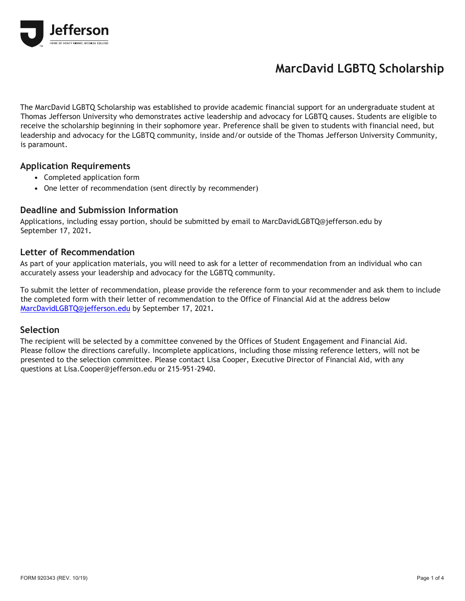

# **MarcDavid LGBTQ Scholarship**

The MarcDavid LGBTQ Scholarship was established to provide academic financial support for an undergraduate student at Thomas Jefferson University who demonstrates active leadership and advocacy for LGBTQ causes. Students are eligible to receive the scholarship beginning in their sophomore year. Preference shall be given to students with financial need, but leadership and advocacy for the LGBTQ community, inside and/or outside of the Thomas Jefferson University Community, is paramount.

#### **Application Requirements**

- **•** Completed application form
- **•** One letter of recommendation (sent directly by recommender)

#### **Deadline and Submission Information**

Applications, including essay portion, should be submitted by email to MarcDavidLGBTQ@jefferson.edu by September 17, 2021**.**

#### **Letter of Recommendation**

As part of your application materials, you will need to ask for a letter of recommendation from an individual who can accurately assess your leadership and advocacy for the LGBTQ community.

To submit the letter of recommendation, please provide the reference form to your recommender and ask them to include the completed form with their letter of recommendation to the Office of Financial Aid at the address below [MarcDavidLGBTQ@jefferson.edu](mailto:MarcDavidLGBTQ@jefferson.edu) by September 17, 2021**.**

#### **Selection**

The recipient will be selected by a committee convened by the Offices of Student Engagement and Financial Aid. Please follow the directions carefully. Incomplete applications, including those missing reference letters, will not be presented to the selection committee. Please contact Lisa Cooper, Executive Director of Financial Aid, with any questions at Lisa.Cooper@jefferson.edu or 215-951-2940.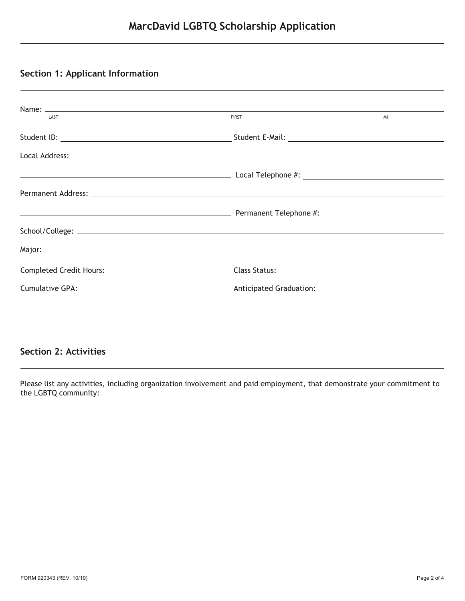## **Section 1: Applicant Information**

| LAST                           | <b>FIRST</b> | MI |
|--------------------------------|--------------|----|
|                                |              |    |
|                                |              |    |
|                                |              |    |
|                                |              |    |
|                                |              |    |
|                                |              |    |
|                                |              |    |
| <b>Completed Credit Hours:</b> |              |    |
| Cumulative GPA:                |              |    |
|                                |              |    |

## **Section 2: Activities**

Please list any activities, including organization involvement and paid employment, that demonstrate your commitment to the LGBTQ community: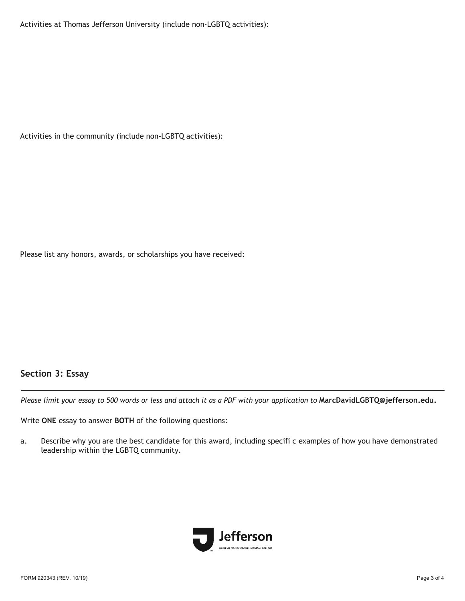Activities at Thomas Jefferson University (include non-LGBTQ activities):

Activities in the community (include non-LGBTQ activities):

Please list any honors, awards, or scholarships you have received:

## **Section 3: Essay**

*Please limit your essay to 500 words or less and attach it as a PDF with your application to* **MarcDavidLGBTQ@jefferson.edu.** 

Write **ONE** essay to answer **BOTH** of the following questions:

a. Describe why you are the best candidate for this award, including specifi c examples of how you have demonstrated leadership within the LGBTQ community.